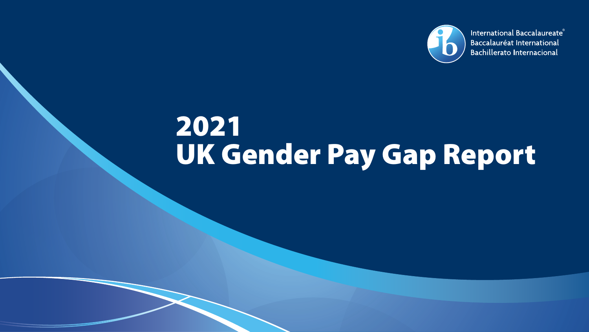

International Baccalaureate® Baccalauréat International **Bachillerato Internacional** 

# 2021 UK Gender Pay Gap Report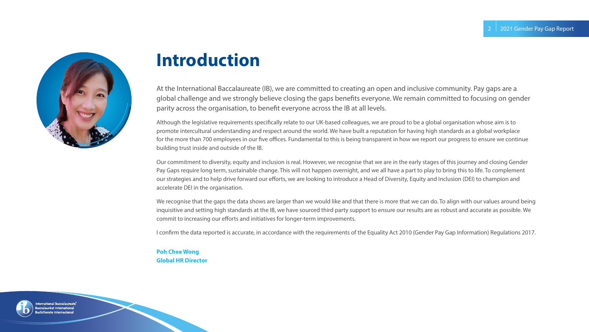

### **Introduction**

At the International Baccalaureate (IB), we are committed to creating an open and inclusive community. Pay gaps are a global challenge and we strongly believe closing the gaps benefits everyone. We remain committed to focusing on gender parity across the organisation, to benefit everyone across the IB at all levels.

Although the legislative requirements specifically relate to our UK-based colleagues, we are proud to be a global organisation whose aim is to promote intercultural understanding and respect around the world. We have built a reputation for having high standards as a global workplace for the more than 700 employees in our five offices. Fundamental to this is being transparent in how we report our progress to ensure we continue building trust inside and outside of the IB.

Our commitment to diversity, equity and inclusion is real. However, we recognise that we are in the early stages of this journey and closing Gender Pay Gaps require long term, sustainable change. This will not happen overnight, and we all have a part to play to bring this to life. To complement our strategies and to help drive forward our efforts, we are looking to introduce a Head of Diversity, Equity and Inclusion (DEI) to champion and accelerate DEI in the organisation.

We recognise that the gaps the data shows are larger than we would like and that there is more that we can do. To align with our values around being inquisitive and setting high standards at the IB, we have sourced third party support to ensure our results are as robust and accurate as possible. We commit to increasing our efforts and initiatives for longer-term improvements.

I confirm the data reported is accurate, in accordance with the requirements of the Equality Act 2010 (Gender Pay Gap Information) Regulations 2017.

#### **Poh Chee Wong Global HR Director**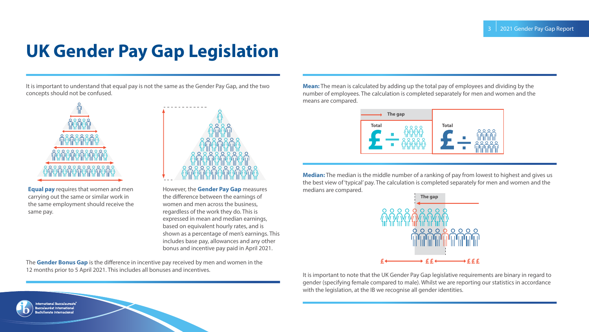### **UK Gender Pay Gap Legislation**

It is important to understand that equal pay is not the same as the Gender Pay Gap, and the two concepts should not be confused.



**Equal pay** requires that women and men carrying out the same or similar work in the same employment should receive the same pay.

> ational Baccalaureate ccalauréat International



However, the **Gender Pay Gap** measures the difference between the earnings of women and men across the business, regardless of the work they do. This is expressed in mean and median earnings, based on equivalent hourly rates, and is shown as a percentage of men's earnings. This includes base pay, allowances and any other bonus and incentive pay paid in April 2021.

The **Gender Bonus Gap** is the difference in incentive pay received by men and women in the 12 months prior to 5 April 2021. This includes all bonuses and incentives.

**Mean:** The mean is calculated by adding up the total pay of employees and dividing by the number of employees. The calculation is completed separately for men and women and the means are compared.



**Median:** The median is the middle number of a ranking of pay from lowest to highest and gives us the best view of 'typical' pay. The calculation is completed separately for men and women and the medians are compared.



It is important to note that the UK Gender Pay Gap legislative requirements are binary in regard to gender (specifying female compared to male). Whilst we are reporting our statistics in accordance with the legislation, at the IB we recognise all gender identities.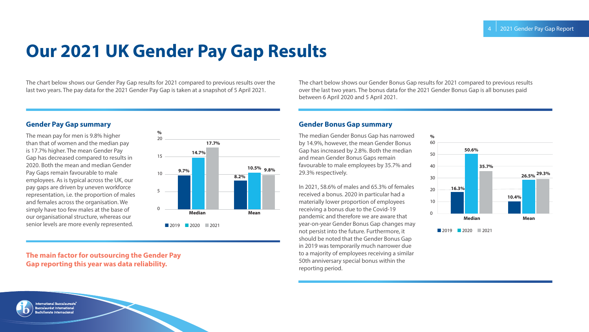# **Our 2021 UK Gender Pay Gap Results**

The chart below shows our Gender Pay Gap results for 2021 compared to previous results over the last two years. The pay data for the 2021 Gender Pay Gap is taken at a snapshot of 5 April 2021.

#### **Gender Pay Gap summary**

The mean pay for men is 9.8% higher than that of women and the median pay is 17.7% higher. The mean Gender Pay Gap has decreased compared to results in 2020. Both the mean and median Gender Pay Gaps remain favourable to male employees. As is typical across the UK, our pay gaps are driven by uneven workforce representation, i.e. the proportion of males and females across the organisation. We simply have too few males at the base of our organisational structure, whereas our senior levels are more evenly represented.



#### **The main factor for outsourcing the Gender Pay Gap reporting this year was data reliability.**

The chart below shows our Gender Bonus Gap results for 2021 compared to previous results over the last two years. The bonus data for the 2021 Gender Bonus Gap is all bonuses paid between 6 April 2020 and 5 April 2021.

#### **Gender Bonus Gap summary**

The median Gender Bonus Gap has narrowed by 14.9%, however, the mean Gender Bonus Gap has increased by 2.8%. Both the median and mean Gender Bonus Gaps remain favourable to male employees by 35.7% and 29.3% respectively.

In 2021, 58.6% of males and 65.3% of females received a bonus. 2020 in particular had a materially lower proportion of employees receiving a bonus due to the Covid-19 pandemic and therefore we are aware that year-on-year Gender Bonus Gap changes may not persist into the future. Furthermore, it should be noted that the Gender Bonus Gap in 2019 was temporarily much narrower due to a majority of employees receiving a similar 50th anniversary special bonus within the reporting period.

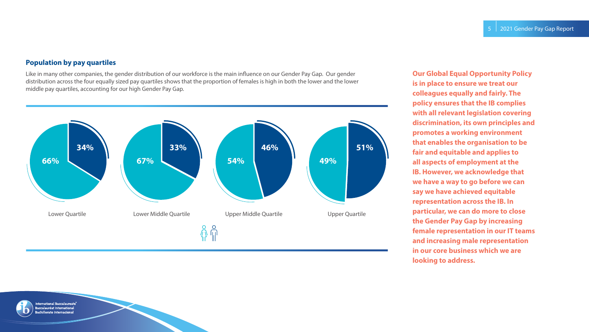#### **Population by pay quartiles**

Like in many other companies, the gender distribution of our workforce is the main influence on our Gender Pay Gap. Our gender distribution across the four equally sized pay quartiles shows that the proportion of females is high in both the lower and the lower middle pay quartiles, accounting for our high Gender Pay Gap.



**Our Global Equal Opportunity Policy is in place to ensure we treat our colleagues equally and fairly. The policy ensures that the IB complies with all relevant legislation covering discrimination, its own principles and promotes a working environment that enables the organisation to be fair and equitable and applies to all aspects of employment at the IB. However, we acknowledge that we have a way to go before we can say we have achieved equitable representation across the IB. In particular, we can do more to close the Gender Pay Gap by increasing female representation in our IT teams and increasing male representation in our core business which we are looking to address.**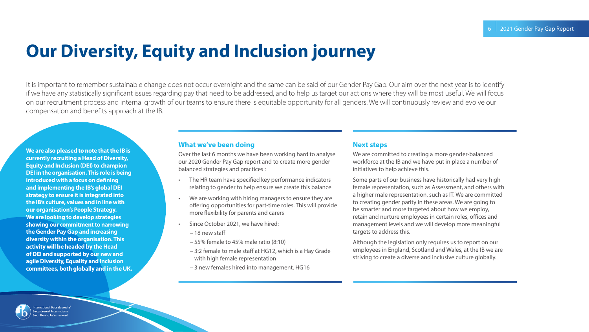## **Our Diversity, Equity and Inclusion journey**

It is important to remember sustainable change does not occur overnight and the same can be said of our Gender Pay Gap. Our aim over the next year is to identify if we have any statistically significant issues regarding pay that need to be addressed, and to help us target our actions where they will be most useful. We will focus on our recruitment process and internal growth of our teams to ensure there is equitable opportunity for all genders. We will continuously review and evolve our compensation and benefits approach at the IB.

**We are also pleased to note that the IB is currently recruiting a Head of Diversity, Equity and Inclusion (DEI) to champion DEI in the organisation. This role is being introduced with a focus on defining and implementing the IB's global DEI strategy to ensure it is integrated into the IB's culture, values and in line with our organisation's People Strategy. We are looking to develop strategies showing our commitment to narrowing the Gender Pay Gap and increasing diversity within the organisation. This activity will be headed by the Head of DEI and supported by our new and agile Diversity, Equality and Inclusion committees, both globally and in the UK.**

#### **What we've been doing**

Over the last 6 months we have been working hard to analyse our 2020 Gender Pay Gap report and to create more gender balanced strategies and practices :

- The HR team have specified key performance indicators relating to gender to help ensure we create this balance
- We are working with hiring managers to ensure they are offering opportunities for part-time roles. This will provide more flexibility for parents and carers
- Since October 2021, we have hired:
	- 18 new staff
	- 55% female to 45% male ratio (8:10)
	- 3:2 female to male staff at HG12, which is a Hay Grade with high female representation
	- 3 new females hired into management, HG16

#### **Next steps**

We are committed to creating a more gender-balanced workforce at the IB and we have put in place a number of initiatives to help achieve this.

Some parts of our business have historically had very high female representation, such as Assessment, and others with a higher male representation, such as IT. We are committed to creating gender parity in these areas. We are going to be smarter and more targeted about how we employ, retain and nurture employees in certain roles, offices and management levels and we will develop more meaningful targets to address this.

Although the legislation only requires us to report on our employees in England, Scotland and Wales, at the IB we are striving to create a diverse and inclusive culture globally.

alauréat International